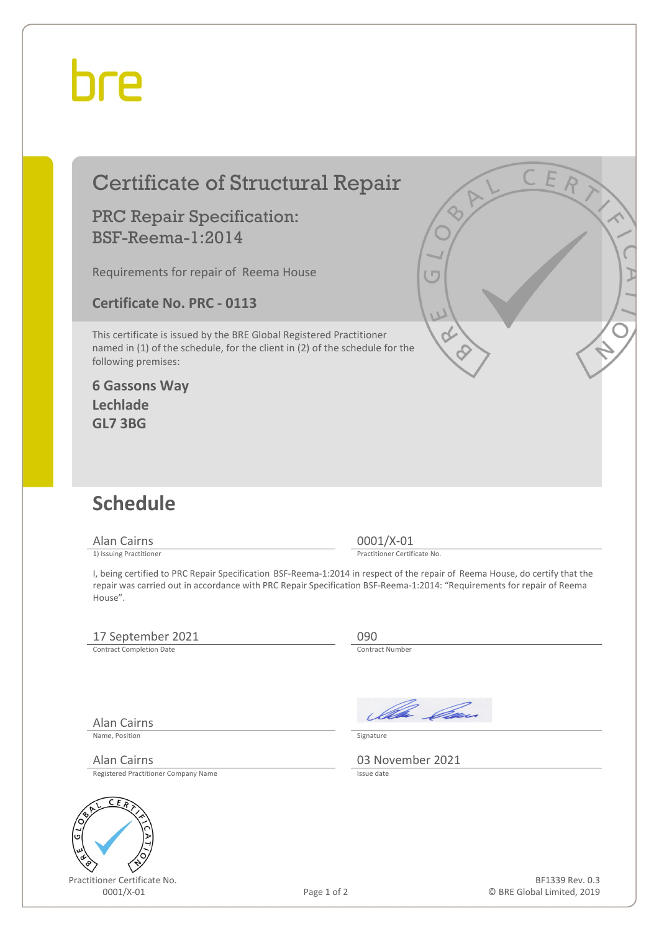## bre

| <b>Certificate of Structural Repair</b>                                                                                                                                                                                                                           |                              |
|-------------------------------------------------------------------------------------------------------------------------------------------------------------------------------------------------------------------------------------------------------------------|------------------------------|
| <b>PRC Repair Specification:</b><br><b>BSF-Reema-1:2014</b>                                                                                                                                                                                                       |                              |
| Requirements for repair of Reema House                                                                                                                                                                                                                            |                              |
| <b>Certificate No. PRC - 0113</b>                                                                                                                                                                                                                                 | $\overline{L}$               |
| This certificate is issued by the BRE Global Registered Practitioner<br>named in (1) of the schedule, for the client in (2) of the schedule for the<br>following premises:                                                                                        |                              |
| <b>6 Gassons Way</b><br>Lechlade<br><b>GL7 3BG</b>                                                                                                                                                                                                                |                              |
| <b>Schedule</b>                                                                                                                                                                                                                                                   |                              |
| <b>Alan Cairns</b>                                                                                                                                                                                                                                                | 0001/X-01                    |
| 1) Issuing Practitioner                                                                                                                                                                                                                                           | Practitioner Certificate No. |
| I, being certified to PRC Repair Specification BSF-Reema-1:2014 in respect of the repair of Reema House, do certify that the<br>repair was carried out in accordance with PRC Repair Specification BSF-Reema-1:2014: "Requirements for repair of Reema<br>House". |                              |
| 17 September 2021                                                                                                                                                                                                                                                 | 090                          |
| <b>Contract Completion Date</b>                                                                                                                                                                                                                                   | <b>Contract Number</b>       |

Alan Cairns

Name, Position Signature

Registered Practitioner Company Name



Practitioner Certificate No.



Alan Cairns Registered Practitioner Company Name **03 November 2021** 

 $\sqrt{\frac{H}{1-\frac{H}{1-\frac{H}{1-\frac{H}{1-\frac{H}{1-\frac{H}{1-\frac{H}{1-\frac{H}{1-\frac{H}{1-\frac{H}{1-\frac{H}{1-\frac{H}{1-\frac{H}{1-\frac{H}{1-\frac{H}{1-\frac{H}{1-\frac{H}{1-\frac{H}{1-\frac{H}{1-\frac{H}{1-\frac{H}{1-\frac{H}{1-\frac{H}{1-\frac{H}{1-\frac{H}{1-\frac{H}{1-\frac{H}{1-\frac{H}{1-\frac{H}{1-\frac{H}{1-\frac{H}{1-\frac{H}{1-\frac{H}{1-\frac{H}{1-\frac{H}{1-\frac{H}{1-\frac$